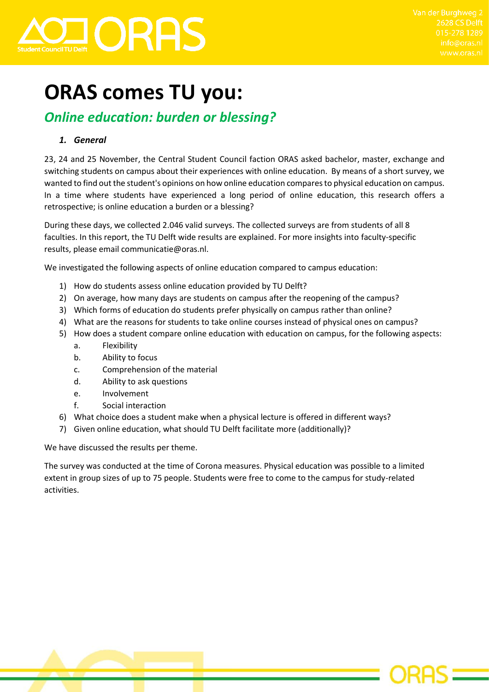

# **ORAS comes TU you:**

## *Online education: burden or blessing?*

## *1. General*

23, 24 and 25 November, the Central Student Council faction ORAS asked bachelor, master, exchange and switching students on campus about their experiences with online education. By means of a short survey, we wanted to find out the student's opinions on how online education compares to physical education on campus. In a time where students have experienced a long period of online education, this research offers a retrospective; is online education a burden or a blessing?

During these days, we collected 2.046 valid surveys. The collected surveys are from students of all 8 faculties. In this report, the TU Delft wide results are explained. For more insights into faculty-specific results, please email communicatie@oras.nl.

We investigated the following aspects of online education compared to campus education:

- 1) How do students assess online education provided by TU Delft?
- 2) On average, how many days are students on campus after the reopening of the campus?
- 3) Which forms of education do students prefer physically on campus rather than online?
- 4) What are the reasons for students to take online courses instead of physical ones on campus?
- 5) How does a student compare online education with education on campus, for the following aspects:
	- a. Flexibility
	- b. Ability to focus
	- c. Comprehension of the material
	- d. Ability to ask questions
	- e. Involvement
	- f. Social interaction
- 6) What choice does a student make when a physical lecture is offered in different ways?
- 7) Given online education, what should TU Delft facilitate more (additionally)?

We have discussed the results per theme.

The survey was conducted at the time of Corona measures. Physical education was possible to a limited extent in group sizes of up to 75 people. Students were free to come to the campus for study-related activities.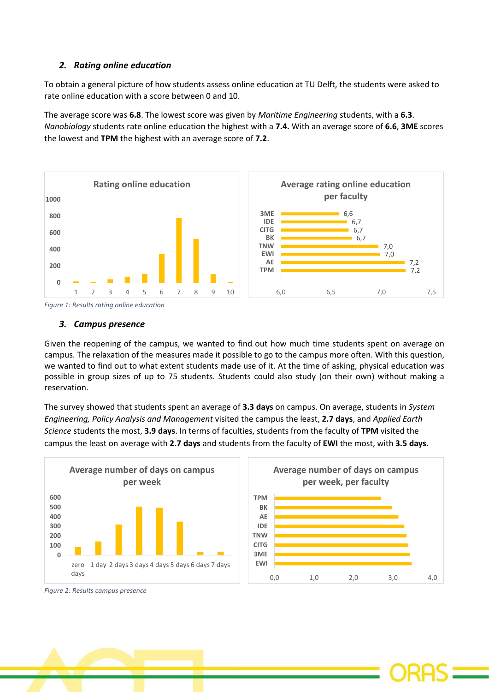## *2. Rating online education*

To obtain a general picture of how students assess online education at TU Delft, the students were asked to rate online education with a score between 0 and 10.

The average score was **6.8**. The lowest score was given by *Maritime Engineering* students, with a **6.3**. *Nanobiology* students rate online education the highest with a **7.4.** With an average score of **6.6**, **3ME** scores the lowest and **TPM** the highest with an average score of **7.2**.





#### *3. Campus presence*

Given the reopening of the campus, we wanted to find out how much time students spent on average on campus. The relaxation of the measures made it possible to go to the campus more often. With this question, we wanted to find out to what extent students made use of it. At the time of asking, physical education was possible in group sizes of up to 75 students. Students could also study (on their own) without making a reservation.

The survey showed that students spent an average of **3.3 days** on campus. On average, students in *System Engineering, Policy Analysis and Management* visited the campus the least, **2.7 days**, and *Applied Earth Science* students the most, **3.9 days**. In terms of faculties, students from the faculty of **TPM** visited the campus the least on average with **2.7 days** and students from the faculty of **EWI** the most, with **3.5 days**.





*Figure 2: Results campus presence*

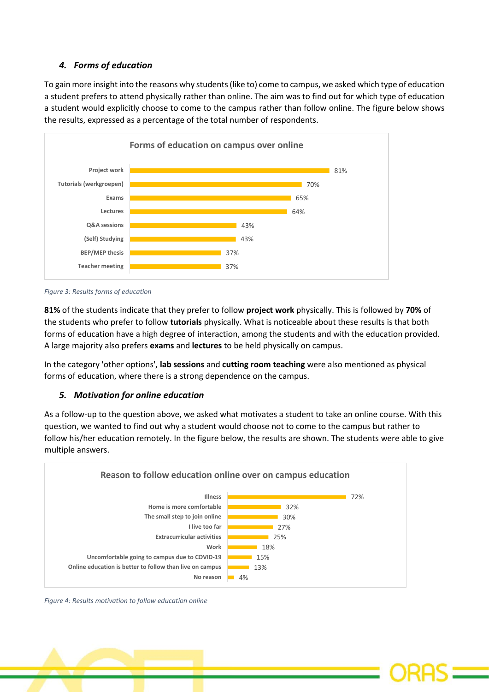## *4. Forms of education*

To gain more insight into the reasons why students (like to) come to campus, we asked which type of education a student prefers to attend physically rather than online. The aim was to find out for which type of education a student would explicitly choose to come to the campus rather than follow online. The figure below shows the results, expressed as a percentage of the total number of respondents.



#### *Figure 3: Results forms of education*

**81%** of the students indicate that they prefer to follow **project work** physically. This is followed by **70%** of the students who prefer to follow **tutorials** physically. What is noticeable about these results is that both forms of education have a high degree of interaction, among the students and with the education provided. A large majority also prefers **exams** and **lectures** to be held physically on campus.

In the category 'other options', **lab sessions** and **cutting room teaching** were also mentioned as physical forms of education, where there is a strong dependence on the campus.

### *5. Motivation for online education*

As a follow-up to the question above, we asked what motivates a student to take an online course. With this question, we wanted to find out why a student would choose not to come to the campus but rather to follow his/her education remotely. In the figure below, the results are shown. The students were able to give multiple answers.



*Figure 4: Results motivation to follow education online*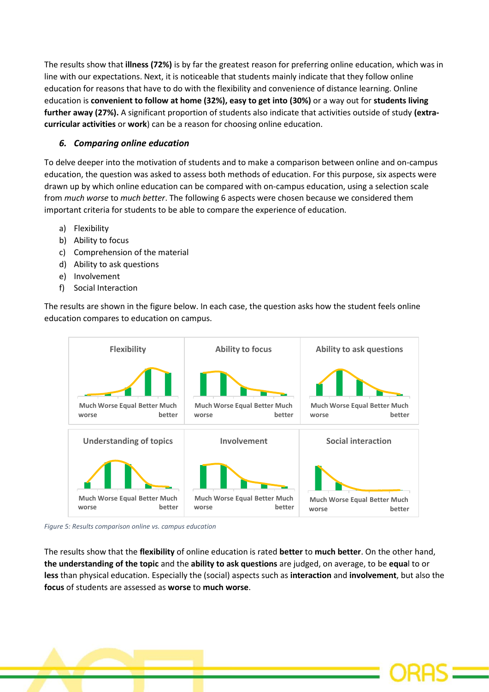The results show that **illness (72%)** is by far the greatest reason for preferring online education, which was in line with our expectations. Next, it is noticeable that students mainly indicate that they follow online education for reasons that have to do with the flexibility and convenience of distance learning. Online education is **convenient to follow at home (32%), easy to get into (30%)** or a way out for **students living further away (27%).** A significant proportion of students also indicate that activities outside of study **(extracurricular activities** or **work**) can be a reason for choosing online education.

## *6. Comparing online education*

To delve deeper into the motivation of students and to make a comparison between online and on-campus education, the question was asked to assess both methods of education. For this purpose, six aspects were drawn up by which online education can be compared with on-campus education, using a selection scale from *much worse* to *much better*. The following 6 aspects were chosen because we considered them important criteria for students to be able to compare the experience of education.

- a) Flexibility
- b) Ability to focus
- c) Comprehension of the material
- d) Ability to ask questions
- e) Involvement
- f) Social Interaction

The results are shown in the figure below. In each case, the question asks how the student feels online education compares to education on campus.



*Figure 5: Results comparison online vs. campus education*

The results show that the **flexibility** of online education is rated **better** to **much better**. On the other hand, **the understanding of the topic** and the **ability to ask questions** are judged, on average, to be **equa**l to or **less** than physical education. Especially the (social) aspects such as **interaction** and **involvement**, but also the **focus** of students are assessed as **worse** to **much worse**.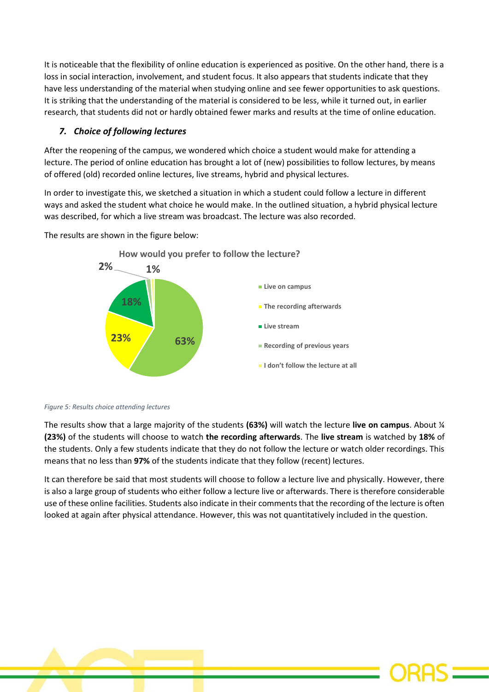It is noticeable that the flexibility of online education is experienced as positive. On the other hand, there is a loss in social interaction, involvement, and student focus. It also appears that students indicate that they have less understanding of the material when studying online and see fewer opportunities to ask questions. It is striking that the understanding of the material is considered to be less, while it turned out, in earlier research, that students did not or hardly obtained fewer marks and results at the time of online education.

## *7. Choice of following lectures*

After the reopening of the campus, we wondered which choice a student would make for attending a lecture. The period of online education has brought a lot of (new) possibilities to follow lectures, by means of offered (old) recorded online lectures, live streams, hybrid and physical lectures.

In order to investigate this, we sketched a situation in which a student could follow a lecture in different ways and asked the student what choice he would make. In the outlined situation, a hybrid physical lecture was described, for which a live stream was broadcast. The lecture was also recorded.

The results are shown in the figure below:



*Figure 5: Results choice attending lectures*

The results show that a large majority of the students **(63%)** will watch the lecture **live on campus**. About ¼ **(23%)** of the students will choose to watch **the recording afterwards**. The **live stream** is watched by **18%** of the students. Only a few students indicate that they do not follow the lecture or watch older recordings. This means that no less than **97%** of the students indicate that they follow (recent) lectures.

It can therefore be said that most students will choose to follow a lecture live and physically. However, there is also a large group of students who either follow a lecture live or afterwards. There is therefore considerable use of these online facilities. Students also indicate in their comments that the recording of the lecture is often looked at again after physical attendance. However, this was not quantitatively included in the question.



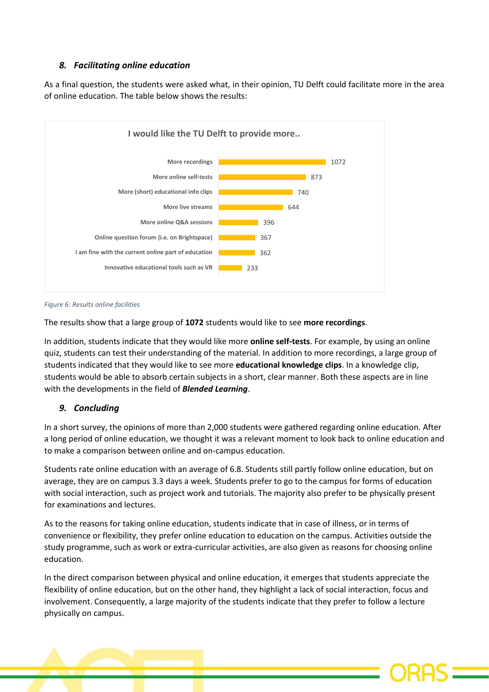## *8. Facilitating online education*

As a final question, the students were asked what, in their opinion, TU Delft could facilitate more in the area of online education. The table below shows the results:



*Figure 6: Results online facilities*

The results show that a large group of **1072** students would like to see **more recordings**.

In addition, students indicate that they would like more **online self-tests**. For example, by using an online quiz, students can test their understanding of the material. In addition to more recordings, a large group of students indicated that they would like to see more **educational knowledge clips**. In a knowledge clip, students would be able to absorb certain subjects in a short, clear manner. Both these aspects are in line with the developments in the field of *Blended Learning*.

## *9. Concluding*

In a short survey, the opinions of more than 2,000 students were gathered regarding online education. After a long period of online education, we thought it was a relevant moment to look back to online education and to make a comparison between online and on-campus education.

Students rate online education with an average of 6.8. Students still partly follow online education, but on average, they are on campus 3.3 days a week. Students prefer to go to the campus for forms of education with social interaction, such as project work and tutorials. The majority also prefer to be physically present for examinations and lectures.

As to the reasons for taking online education, students indicate that in case of illness, or in terms of convenience or flexibility, they prefer online education to education on the campus. Activities outside the study programme, such as work or extra-curricular activities, are also given as reasons for choosing online education.

In the direct comparison between physical and online education, it emerges that students appreciate the flexibility of online education, but on the other hand, they highlight a lack of social interaction, focus and involvement. Consequently, a large majority of the students indicate that they prefer to follow a lecture physically on campus.